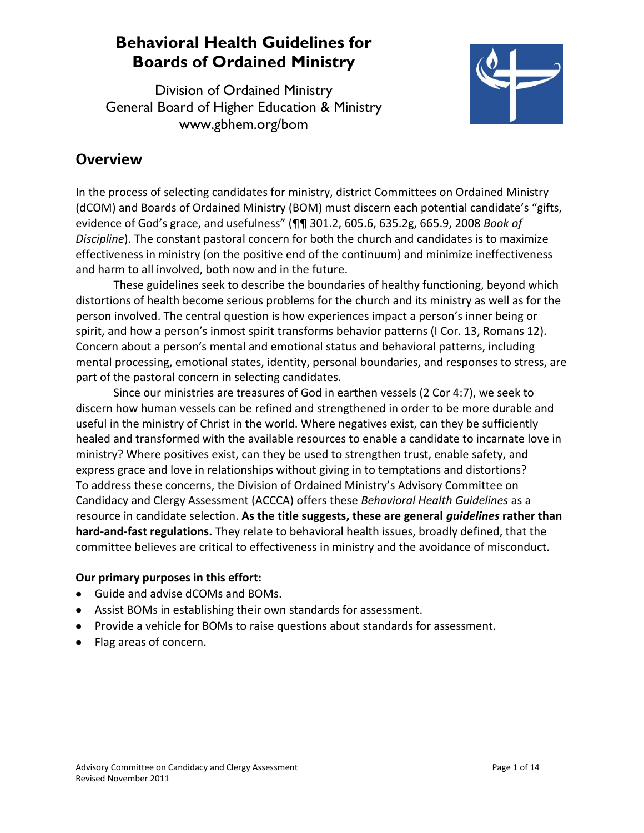Division of Ordained Ministry General Board of Higher Education & Ministry www.gbhem.org/bom



### **Overview**

In the process of selecting candidates for ministry, district Committees on Ordained Ministry (dCOM) and Boards of Ordained Ministry (BOM) must discern each potential candidate's "gifts, evidence of God's grace, and usefulness" (¶¶ 301.2, 605.6, 635.2g, 665.9, 2008 *Book of Discipline*). The constant pastoral concern for both the church and candidates is to maximize effectiveness in ministry (on the positive end of the continuum) and minimize ineffectiveness and harm to all involved, both now and in the future.

These guidelines seek to describe the boundaries of healthy functioning, beyond which distortions of health become serious problems for the church and its ministry as well as for the person involved. The central question is how experiences impact a person's inner being or spirit, and how a person's inmost spirit transforms behavior patterns (I Cor. 13, Romans 12). Concern about a person's mental and emotional status and behavioral patterns, including mental processing, emotional states, identity, personal boundaries, and responses to stress, are part of the pastoral concern in selecting candidates.

Since our ministries are treasures of God in earthen vessels (2 Cor 4:7), we seek to discern how human vessels can be refined and strengthened in order to be more durable and useful in the ministry of Christ in the world. Where negatives exist, can they be sufficiently healed and transformed with the available resources to enable a candidate to incarnate love in ministry? Where positives exist, can they be used to strengthen trust, enable safety, and express grace and love in relationships without giving in to temptations and distortions? To address these concerns, the Division of Ordained Ministry's Advisory Committee on Candidacy and Clergy Assessment (ACCCA) offers these *Behavioral Health Guidelines* as a resource in candidate selection. **As the title suggests, these are general** *guidelines* **rather than hard-and-fast regulations.** They relate to behavioral health issues, broadly defined, that the committee believes are critical to effectiveness in ministry and the avoidance of misconduct.

### **Our primary purposes in this effort:**

- Guide and advise dCOMs and BOMs.
- Assist BOMs in establishing their own standards for assessment.
- Provide a vehicle for BOMs to raise questions about standards for assessment.
- Flag areas of concern.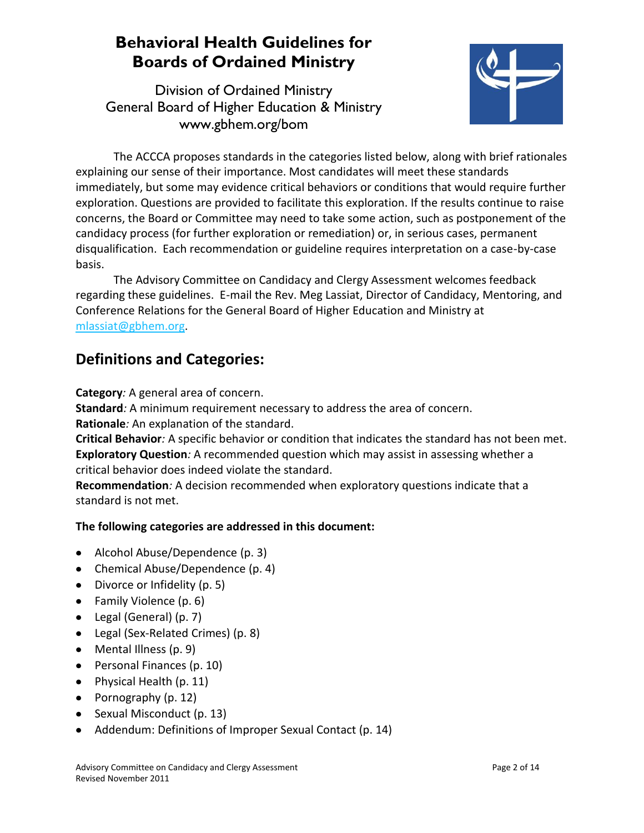Division of Ordained Ministry General Board of Higher Education & Ministry www.gbhem.org/bom



The ACCCA proposes standards in the categories listed below, along with brief rationales explaining our sense of their importance. Most candidates will meet these standards immediately, but some may evidence critical behaviors or conditions that would require further exploration. Questions are provided to facilitate this exploration. If the results continue to raise concerns, the Board or Committee may need to take some action, such as postponement of the candidacy process (for further exploration or remediation) or, in serious cases, permanent disqualification. Each recommendation or guideline requires interpretation on a case-by-case basis.

The Advisory Committee on Candidacy and Clergy Assessment welcomes feedback regarding these guidelines. E-mail the Rev. Meg Lassiat, Director of Candidacy, Mentoring, and Conference Relations for the General Board of Higher Education and Ministry at [mlassiat@gbhem.org.](mailto:mlassiat@gbhem.org)

### **Definitions and Categories:**

**Category***:* A general area of concern.

**Standard***:* A minimum requirement necessary to address the area of concern. **Rationale***:* An explanation of the standard.

**Critical Behavior***:* A specific behavior or condition that indicates the standard has not been met. **Exploratory Question***:* A recommended question which may assist in assessing whether a critical behavior does indeed violate the standard.

**Recommendation***:* A decision recommended when exploratory questions indicate that a standard is not met.

### **The following categories are addressed in this document:**

- Alcohol Abuse/Dependence (p. 3)
- Chemical Abuse/Dependence (p. 4)
- Divorce or Infidelity (p. 5)
- Family Violence (p. 6)
- Legal (General) (p. 7)
- Legal (Sex-Related Crimes) (p. 8)
- Mental Illness (p. 9)
- Personal Finances (p. 10)
- Physical Health (p. 11)
- Pornography  $(p. 12)$
- Sexual Misconduct (p. 13)
- Addendum: Definitions of Improper Sexual Contact (p. 14)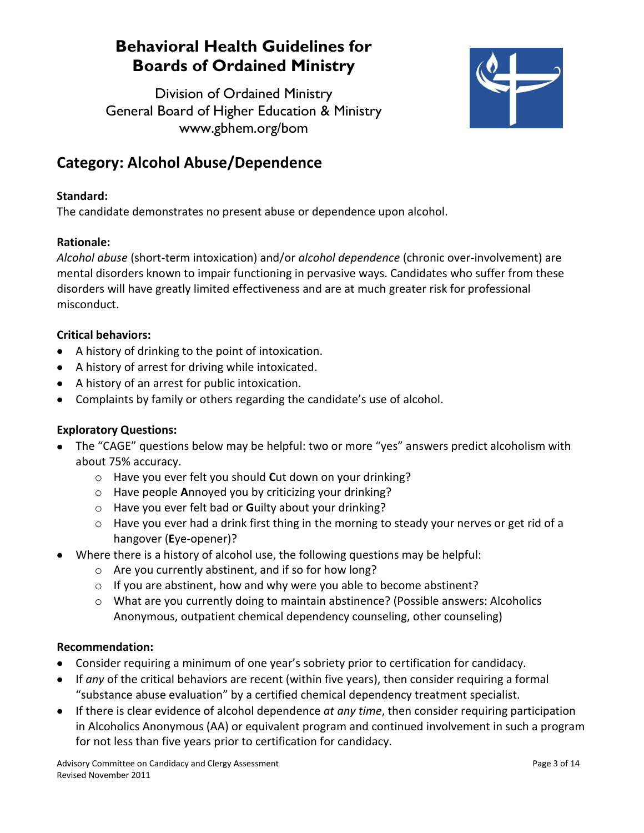Division of Ordained Ministry General Board of Higher Education & Ministry www.gbhem.org/bom



## **Category: Alcohol Abuse/Dependence**

### **Standard:**

The candidate demonstrates no present abuse or dependence upon alcohol.

### **Rationale:**

*Alcohol abuse* (short-term intoxication) and/or *alcohol dependence* (chronic over-involvement) are mental disorders known to impair functioning in pervasive ways. Candidates who suffer from these disorders will have greatly limited effectiveness and are at much greater risk for professional misconduct.

### **Critical behaviors:**

- A history of drinking to the point of intoxication.
- A history of arrest for driving while intoxicated.
- A history of an arrest for public intoxication.
- Complaints by family or others regarding the candidate's use of alcohol.

#### **Exploratory Questions:**

- The "CAGE" questions below may be helpful: two or more "yes" answers predict alcoholism with about 75% accuracy.
	- o Have you ever felt you should **C**ut down on your drinking?
	- o Have people **A**nnoyed you by criticizing your drinking?
	- o Have you ever felt bad or **G**uilty about your drinking?
	- o Have you ever had a drink first thing in the morning to steady your nerves or get rid of a hangover (**E**ye-opener)?
- Where there is a history of alcohol use, the following questions may be helpful:
	- o Are you currently abstinent, and if so for how long?
	- o If you are abstinent, how and why were you able to become abstinent?
	- o What are you currently doing to maintain abstinence? (Possible answers: Alcoholics Anonymous, outpatient chemical dependency counseling, other counseling)

- Consider requiring a minimum of one year's sobriety prior to certification for candidacy.
- If *any* of the critical behaviors are recent (within five years), then consider requiring a formal "substance abuse evaluation" by a certified chemical dependency treatment specialist.
- If there is clear evidence of alcohol dependence *at any time*, then consider requiring participation in Alcoholics Anonymous (AA) or equivalent program and continued involvement in such a program for not less than five years prior to certification for candidacy.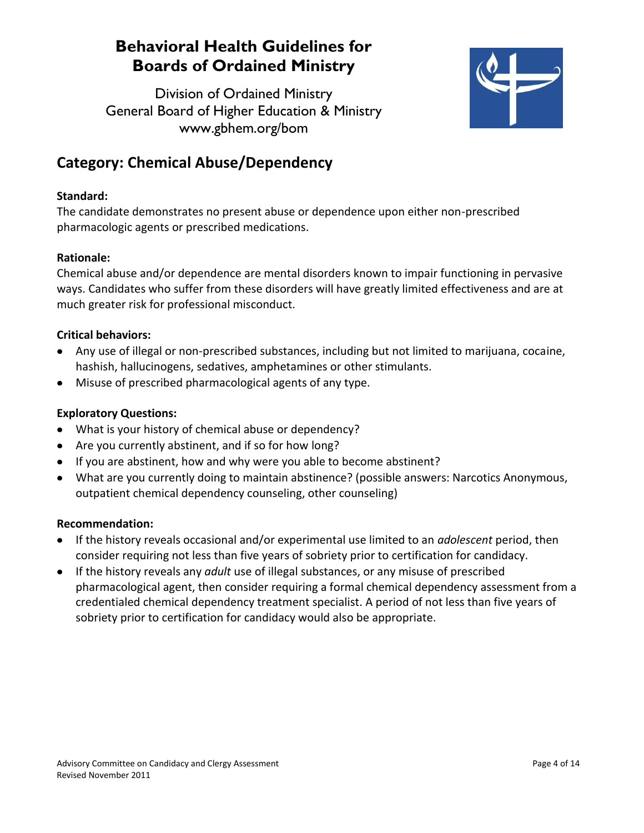Division of Ordained Ministry General Board of Higher Education & Ministry www.gbhem.org/bom



## **Category: Chemical Abuse/Dependency**

#### **Standard:**

The candidate demonstrates no present abuse or dependence upon either non-prescribed pharmacologic agents or prescribed medications.

### **Rationale:**

Chemical abuse and/or dependence are mental disorders known to impair functioning in pervasive ways. Candidates who suffer from these disorders will have greatly limited effectiveness and are at much greater risk for professional misconduct.

#### **Critical behaviors:**

- Any use of illegal or non-prescribed substances, including but not limited to marijuana, cocaine,  $\bullet$ hashish, hallucinogens, sedatives, amphetamines or other stimulants.
- Misuse of prescribed pharmacological agents of any type.

### **Exploratory Questions:**

- What is your history of chemical abuse or dependency?
- Are you currently abstinent, and if so for how long?
- If you are abstinent, how and why were you able to become abstinent?
- What are you currently doing to maintain abstinence? (possible answers: Narcotics Anonymous, outpatient chemical dependency counseling, other counseling)

- If the history reveals occasional and/or experimental use limited to an *adolescent* period, then consider requiring not less than five years of sobriety prior to certification for candidacy.
- If the history reveals any *adult* use of illegal substances, or any misuse of prescribed pharmacological agent, then consider requiring a formal chemical dependency assessment from a credentialed chemical dependency treatment specialist. A period of not less than five years of sobriety prior to certification for candidacy would also be appropriate.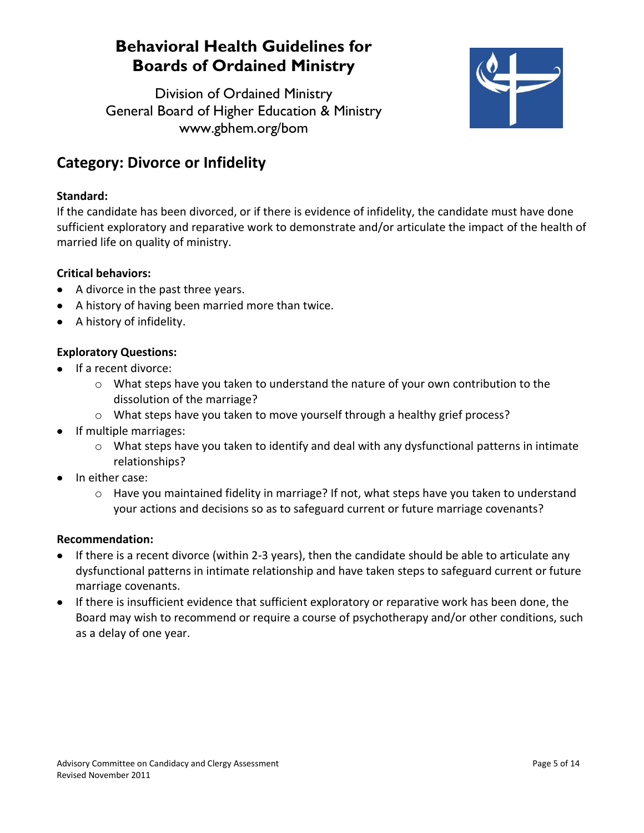Division of Ordained Ministry General Board of Higher Education & Ministry www.gbhem.org/bom



## **Category: Divorce or Infidelity**

#### **Standard:**

If the candidate has been divorced, or if there is evidence of infidelity, the candidate must have done sufficient exploratory and reparative work to demonstrate and/or articulate the impact of the health of married life on quality of ministry.

### **Critical behaviors:**

- A divorce in the past three years.
- A history of having been married more than twice.
- A history of infidelity.

### **Exploratory Questions:**

- If a recent divorce:
	- o What steps have you taken to understand the nature of your own contribution to the dissolution of the marriage?
	- o What steps have you taken to move yourself through a healthy grief process?
- If multiple marriages:
	- $\circ$  What steps have you taken to identify and deal with any dysfunctional patterns in intimate relationships?
- In either case:
	- $\circ$  Have you maintained fidelity in marriage? If not, what steps have you taken to understand your actions and decisions so as to safeguard current or future marriage covenants?

- If there is a recent divorce (within 2-3 years), then the candidate should be able to articulate any dysfunctional patterns in intimate relationship and have taken steps to safeguard current or future marriage covenants.
- If there is insufficient evidence that sufficient exploratory or reparative work has been done, the Board may wish to recommend or require a course of psychotherapy and/or other conditions, such as a delay of one year.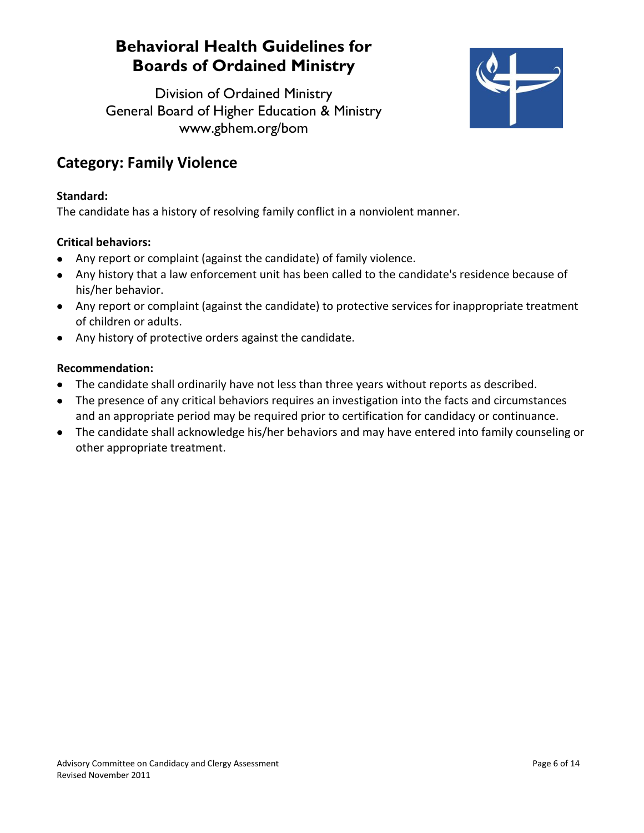Division of Ordained Ministry General Board of Higher Education & Ministry www.gbhem.org/bom



### **Category: Family Violence**

#### **Standard:**

The candidate has a history of resolving family conflict in a nonviolent manner.

### **Critical behaviors:**

- Any report or complaint (against the candidate) of family violence.
- Any history that a law enforcement unit has been called to the candidate's residence because of his/her behavior.
- Any report or complaint (against the candidate) to protective services for inappropriate treatment of children or adults.
- Any history of protective orders against the candidate.

- The candidate shall ordinarily have not less than three years without reports as described.
- The presence of any critical behaviors requires an investigation into the facts and circumstances and an appropriate period may be required prior to certification for candidacy or continuance.
- The candidate shall acknowledge his/her behaviors and may have entered into family counseling or other appropriate treatment.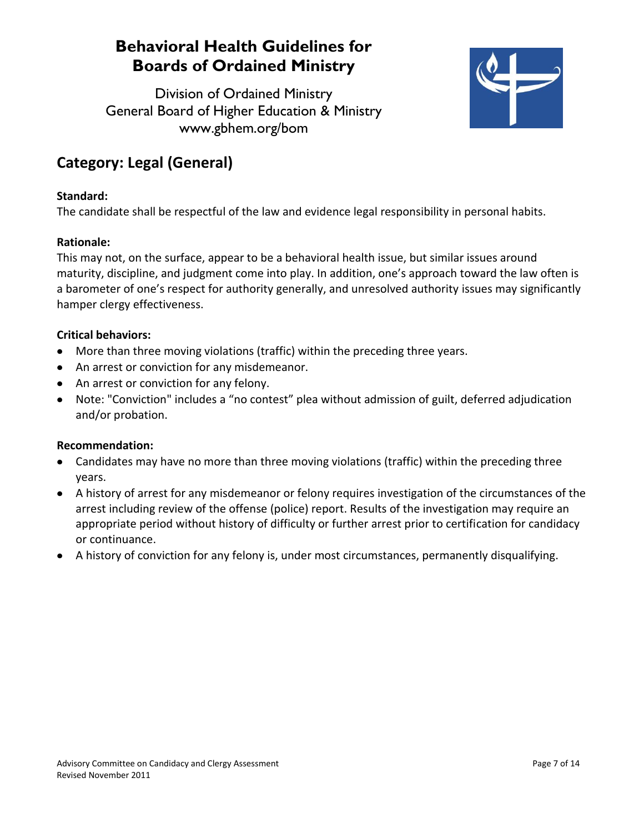Division of Ordained Ministry General Board of Higher Education & Ministry www.gbhem.org/bom



## **Category: Legal (General)**

#### **Standard:**

The candidate shall be respectful of the law and evidence legal responsibility in personal habits.

#### **Rationale:**

This may not, on the surface, appear to be a behavioral health issue, but similar issues around maturity, discipline, and judgment come into play. In addition, one's approach toward the law often is a barometer of one's respect for authority generally, and unresolved authority issues may significantly hamper clergy effectiveness.

#### **Critical behaviors:**

- More than three moving violations (traffic) within the preceding three years.
- An arrest or conviction for any misdemeanor.
- An arrest or conviction for any felony.
- Note: "Conviction" includes a "no contest" plea without admission of guilt, deferred adjudication and/or probation.

- Candidates may have no more than three moving violations (traffic) within the preceding three years.
- A history of arrest for any misdemeanor or felony requires investigation of the circumstances of the arrest including review of the offense (police) report. Results of the investigation may require an appropriate period without history of difficulty or further arrest prior to certification for candidacy or continuance.
- A history of conviction for any felony is, under most circumstances, permanently disqualifying. $\bullet$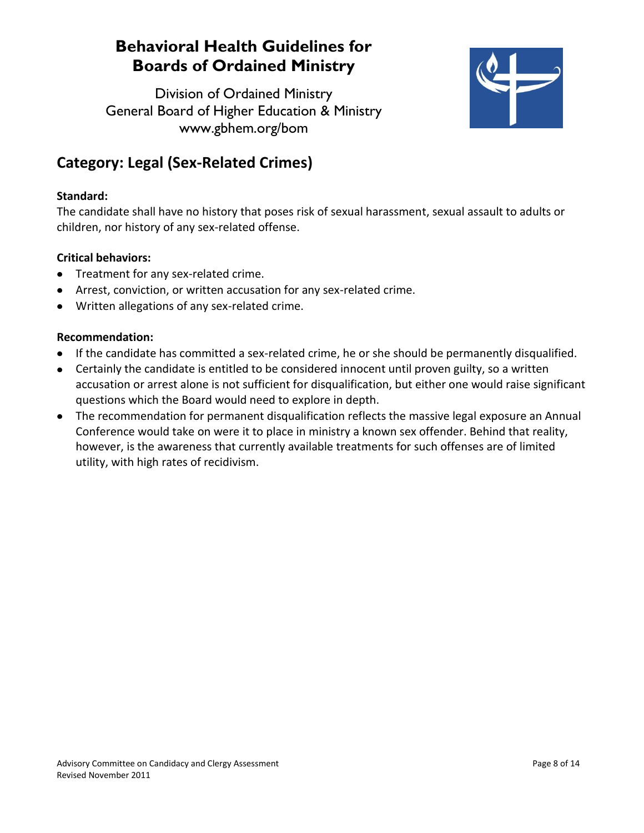Division of Ordained Ministry General Board of Higher Education & Ministry www.gbhem.org/bom



## **Category: Legal (Sex-Related Crimes)**

### **Standard:**

The candidate shall have no history that poses risk of sexual harassment, sexual assault to adults or children, nor history of any sex-related offense.

### **Critical behaviors:**

- Treatment for any sex-related crime.
- Arrest, conviction, or written accusation for any sex-related crime.
- Written allegations of any sex-related crime.  $\bullet$

- If the candidate has committed a sex-related crime, he or she should be permanently disqualified.
- Certainly the candidate is entitled to be considered innocent until proven guilty, so a written accusation or arrest alone is not sufficient for disqualification, but either one would raise significant questions which the Board would need to explore in depth.
- The recommendation for permanent disqualification reflects the massive legal exposure an Annual Conference would take on were it to place in ministry a known sex offender. Behind that reality, however, is the awareness that currently available treatments for such offenses are of limited utility, with high rates of recidivism.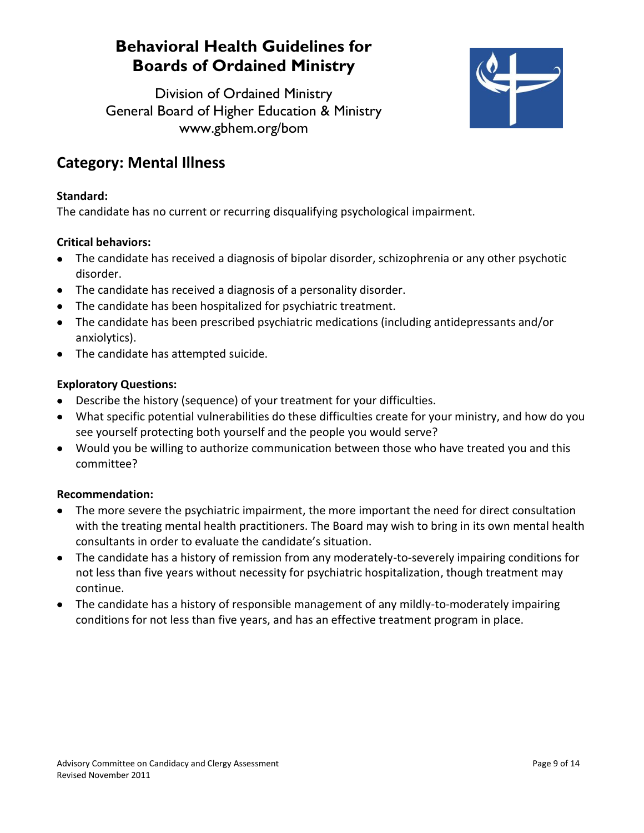Division of Ordained Ministry General Board of Higher Education & Ministry www.gbhem.org/bom



### **Category: Mental Illness**

#### **Standard:**

The candidate has no current or recurring disqualifying psychological impairment.

### **Critical behaviors:**

- The candidate has received a diagnosis of bipolar disorder, schizophrenia or any other psychotic disorder.
- The candidate has received a diagnosis of a personality disorder.
- The candidate has been hospitalized for psychiatric treatment.  $\bullet$
- The candidate has been prescribed psychiatric medications (including antidepressants and/or anxiolytics).
- The candidate has attempted suicide.

### **Exploratory Questions:**

- Describe the history (sequence) of your treatment for your difficulties.
- What specific potential vulnerabilities do these difficulties create for your ministry, and how do you see yourself protecting both yourself and the people you would serve?
- Would you be willing to authorize communication between those who have treated you and this committee?

- The more severe the psychiatric impairment, the more important the need for direct consultation with the treating mental health practitioners. The Board may wish to bring in its own mental health consultants in order to evaluate the candidate's situation.
- The candidate has a history of remission from any moderately-to-severely impairing conditions for not less than five years without necessity for psychiatric hospitalization, though treatment may continue.
- The candidate has a history of responsible management of any mildly-to-moderately impairing conditions for not less than five years, and has an effective treatment program in place.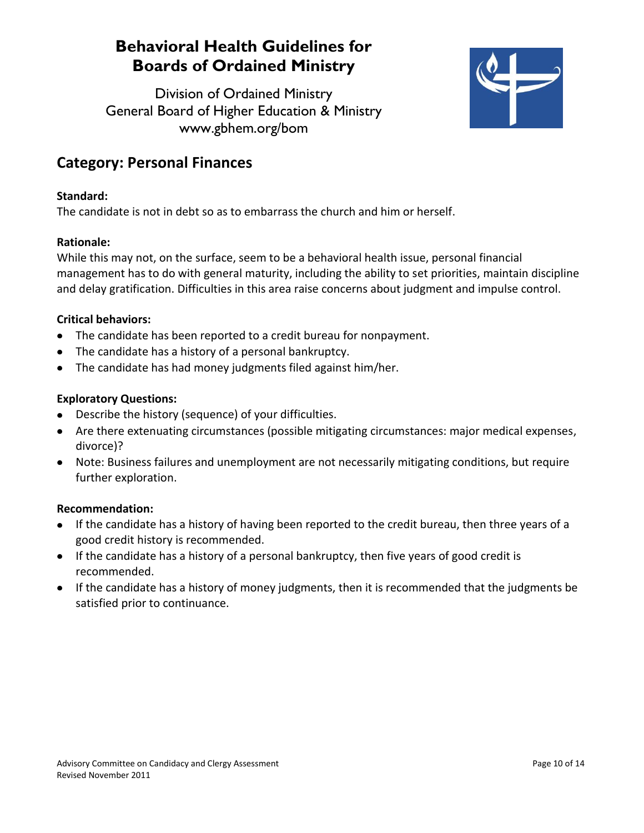Division of Ordained Ministry General Board of Higher Education & Ministry www.gbhem.org/bom



### **Category: Personal Finances**

### **Standard:**

The candidate is not in debt so as to embarrass the church and him or herself.

### **Rationale:**

While this may not, on the surface, seem to be a behavioral health issue, personal financial management has to do with general maturity, including the ability to set priorities, maintain discipline and delay gratification. Difficulties in this area raise concerns about judgment and impulse control.

### **Critical behaviors:**

- The candidate has been reported to a credit bureau for nonpayment.
- The candidate has a history of a personal bankruptcy.
- The candidate has had money judgments filed against him/her.

#### **Exploratory Questions:**

- Describe the history (sequence) of your difficulties.
- Are there extenuating circumstances (possible mitigating circumstances: major medical expenses, divorce)?
- Note: Business failures and unemployment are not necessarily mitigating conditions, but require further exploration.

- If the candidate has a history of having been reported to the credit bureau, then three years of a good credit history is recommended.
- If the candidate has a history of a personal bankruptcy, then five years of good credit is recommended.
- If the candidate has a history of money judgments, then it is recommended that the judgments be satisfied prior to continuance.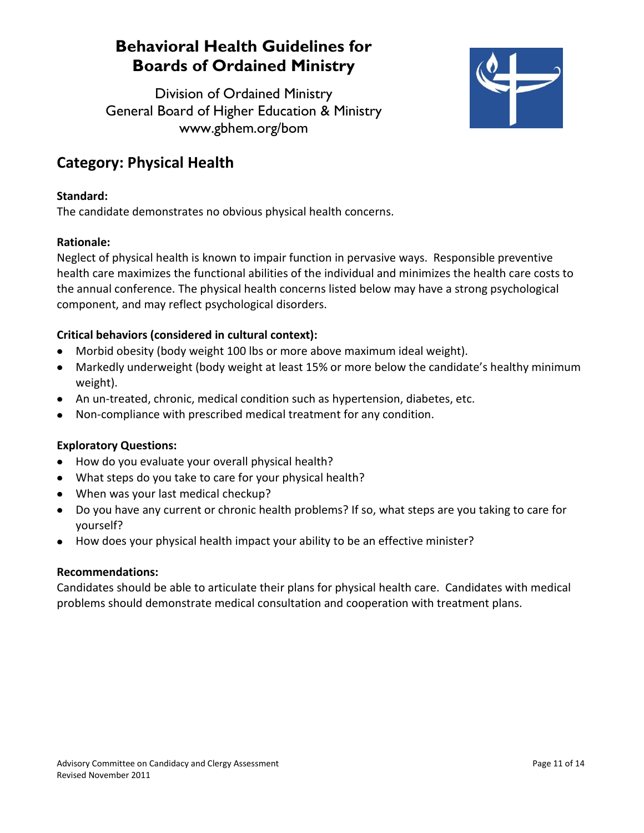Division of Ordained Ministry General Board of Higher Education & Ministry www.gbhem.org/bom



### **Category: Physical Health**

#### **Standard:**

The candidate demonstrates no obvious physical health concerns.

### **Rationale:**

Neglect of physical health is known to impair function in pervasive ways. Responsible preventive health care maximizes the functional abilities of the individual and minimizes the health care costs to the annual conference. The physical health concerns listed below may have a strong psychological component, and may reflect psychological disorders.

### **Critical behaviors (considered in cultural context):**

- Morbid obesity (body weight 100 lbs or more above maximum ideal weight).
- Markedly underweight (body weight at least 15% or more below the candidate's healthy minimum weight).
- An un-treated, chronic, medical condition such as hypertension, diabetes, etc.
- Non-compliance with prescribed medical treatment for any condition.  $\bullet$

#### **Exploratory Questions:**

- How do you evaluate your overall physical health?
- What steps do you take to care for your physical health?
- When was your last medical checkup?
- Do you have any current or chronic health problems? If so, what steps are you taking to care for yourself?
- How does your physical health impact your ability to be an effective minister?

#### **Recommendations:**

Candidates should be able to articulate their plans for physical health care. Candidates with medical problems should demonstrate medical consultation and cooperation with treatment plans.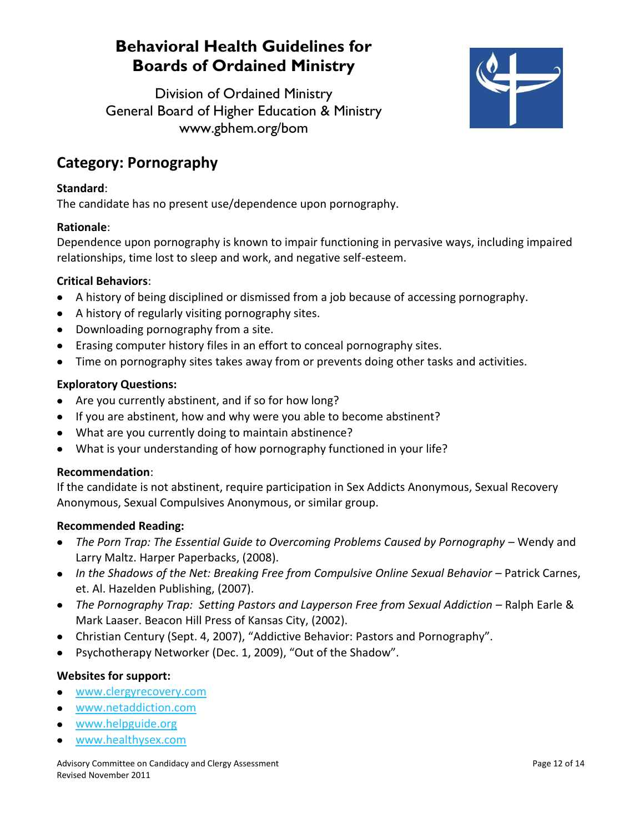Division of Ordained Ministry General Board of Higher Education & Ministry www.gbhem.org/bom



### **Category: Pornography**

#### **Standard**:

The candidate has no present use/dependence upon pornography.

#### **Rationale**:

Dependence upon pornography is known to impair functioning in pervasive ways, including impaired relationships, time lost to sleep and work, and negative self-esteem.

#### **Critical Behaviors**:

- A history of being disciplined or dismissed from a job because of accessing pornography.
- A history of regularly visiting pornography sites.
- Downloading pornography from a site.
- Erasing computer history files in an effort to conceal pornography sites.
- Time on pornography sites takes away from or prevents doing other tasks and activities.  $\bullet$

#### **Exploratory Questions:**

- Are you currently abstinent, and if so for how long?
- If you are abstinent, how and why were you able to become abstinent?
- What are you currently doing to maintain abstinence?
- What is your understanding of how pornography functioned in your life?

#### **Recommendation**:

If the candidate is not abstinent, require participation in Sex Addicts Anonymous, Sexual Recovery Anonymous, Sexual Compulsives Anonymous, or similar group.

#### **Recommended Reading:**

- The Porn Trap: The Essential Guide to Overcoming Problems Caused by Pornography Wendy and Larry Maltz. Harper Paperbacks, (2008).
- In the Shadows of the Net: Breaking Free from Compulsive Online Sexual Behavior Patrick Carnes, et. Al. Hazelden Publishing, (2007).
- **The Pornography Trap: Setting Pastors and Layperson Free from Sexual Addiction Ralph Earle &** Mark Laaser. Beacon Hill Press of Kansas City, (2002).
- Christian Century (Sept. 4, 2007), "Addictive Behavior: Pastors and Pornography".
- Psychotherapy Networker (Dec. 1, 2009), "Out of the Shadow".  $\bullet$

#### **Websites for support:**

- [www.clergyrecovery.com](http://www.clergyrecovery.com/)  $\bullet$
- [www.netaddiction.com](http://www.netaddiction.com/)  $\bullet$
- [www.helpguide.org](http://www.helpguide.org/)
- [www.healthysex.com](http://www.healthysex.com/)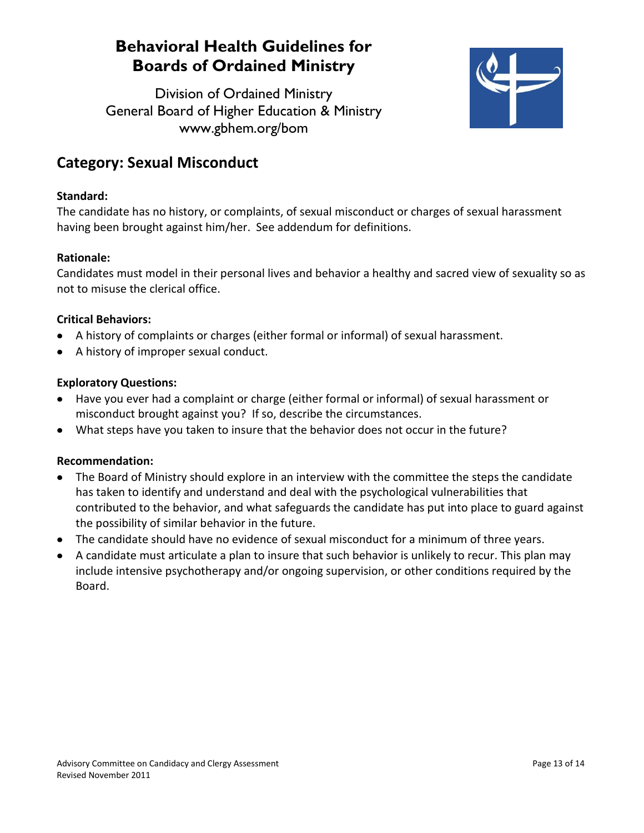Division of Ordained Ministry General Board of Higher Education & Ministry www.gbhem.org/bom



### **Category: Sexual Misconduct**

#### **Standard:**

The candidate has no history, or complaints, of sexual misconduct or charges of sexual harassment having been brought against him/her. See addendum for definitions.

#### **Rationale:**

Candidates must model in their personal lives and behavior a healthy and sacred view of sexuality so as not to misuse the clerical office.

#### **Critical Behaviors:**

- A history of complaints or charges (either formal or informal) of sexual harassment.
- A history of improper sexual conduct.

#### **Exploratory Questions:**

- Have you ever had a complaint or charge (either formal or informal) of sexual harassment or  $\bullet$ misconduct brought against you? If so, describe the circumstances.
- What steps have you taken to insure that the behavior does not occur in the future?

- The Board of Ministry should explore in an interview with the committee the steps the candidate has taken to identify and understand and deal with the psychological vulnerabilities that contributed to the behavior, and what safeguards the candidate has put into place to guard against the possibility of similar behavior in the future.
- The candidate should have no evidence of sexual misconduct for a minimum of three years.
- A candidate must articulate a plan to insure that such behavior is unlikely to recur. This plan may include intensive psychotherapy and/or ongoing supervision, or other conditions required by the Board.